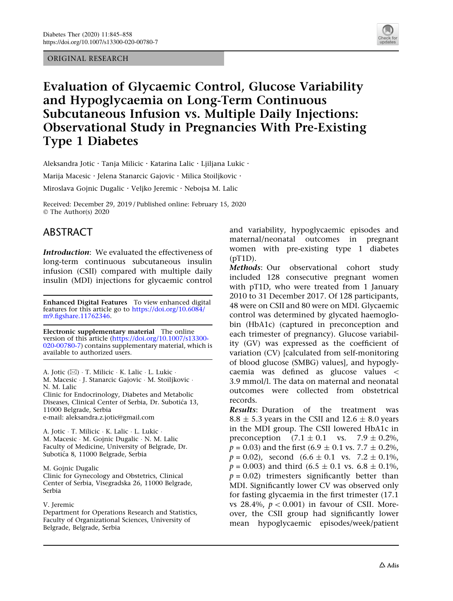#### ORIGINAL RESEARCH



# Evaluation of Glycaemic Control, Glucose Variability and Hypoglycaemia on Long-Term Continuous Subcutaneous Infusion vs. Multiple Daily Injections: Observational Study in Pregnancies With Pre-Existing Type 1 Diabetes

Aleksandra Jotic · Tanja Milicic · Katarina Lalic · Ljiljana Lukic ·

Marija Macesic · Jelena Stanarcic Gajovic · Milica Stoilikovic ·

Miroslava Gojnic Dugalic . Veljko Jeremic . Nebojsa M. Lalic

Received: December 29, 2019 / Published online: February 15, 2020 © The Author(s) 2020

## ABSTRACT

Introduction: We evaluated the effectiveness of long-term continuous subcutaneous insulin infusion (CSII) compared with multiple daily insulin (MDI) injections for glycaemic control

Enhanced Digital Features To view enhanced digital features for this article go to [https://doi.org/10.6084/](https://doi.org/10.6084/m9.figshare.11762346) [m9.figshare.11762346.](https://doi.org/10.6084/m9.figshare.11762346)

Electronic supplementary material The online version of this article ([https://doi.org/10.1007/s13300-](https://doi.org/10.1007/s13300-020-00780-7) [020-00780-7](https://doi.org/10.1007/s13300-020-00780-7)) contains supplementary material, which is available to authorized users.

A. Jotic (⊠) · T. Milicic · K. Lalic · L. Lukic · M. Macesic - J. Stanarcic Gajovic - M. Stoiljkovic - N. M. Lalic Clinic for Endocrinology, Diabetes and Metabolic Diseases, Clinical Center of Serbia, Dr. Subotića 13, 11000 Belgrade, Serbia

e-mail: aleksandra.z.jotic@gmail.com

A. Jotic · T. Milicic · K. Lalic · L. Lukic · M. Macesic - M. Gojnic Dugalic - N. M. Lalic Faculty of Medicine, University of Belgrade, Dr. Subotića 8, 11000 Belgrade, Serbia

M. Gojnic Dugalic Clinic for Gynecology and Obstetrics, Clinical Center of Serbia, Visegradska 26, 11000 Belgrade, Serbia

#### V. Jeremic

Department for Operations Research and Statistics, Faculty of Organizational Sciences, University of Belgrade, Belgrade, Serbia

and variability, hypoglycaemic episodes and maternal/neonatal outcomes in pregnant women with pre-existing type 1 diabetes (pT1D).

Methods: Our observational cohort study included 128 consecutive pregnant women with pT1D, who were treated from 1 January 2010 to 31 December 2017. Of 128 participants, 48 were on CSII and 80 were on MDI. Glycaemic control was determined by glycated haemoglobin (HbA1c) (captured in preconception and each trimester of pregnancy). Glucose variability (GV) was expressed as the coefficient of variation (CV) [calculated from self-monitoring of blood glucose (SMBG) values], and hypoglycaemia was defined as glucose values \ 3.9 mmol/l. The data on maternal and neonatal outcomes were collected from obstetrical records.

Results: Duration of the treatment was  $8.8 \pm 5.3$  years in the CSII and  $12.6 \pm 8.0$  years in the MDI group. The CSII lowered HbA1c in preconception  $(7.1 \pm 0.1 \text{ vs. } 7.9 \pm 0.2\%$ ,  $p = 0.03$ ) and the first  $(6.9 \pm 0.1 \text{ vs. } 7.7 \pm 0.2\%$ ,  $p = 0.02$ ), second  $(6.6 \pm 0.1 \text{ vs. } 7.2 \pm 0.1\%$ ,  $p = 0.003$ ) and third  $(6.5 \pm 0.1 \text{ vs. } 6.8 \pm 0.1\%$ ,  $p = 0.02$ ) trimesters significantly better than MDI. Significantly lower CV was observed only for fasting glycaemia in the first trimester (17.1 vs 28.4%,  $p < 0.001$ ) in favour of CSII. Moreover, the CSII group had significantly lower mean hypoglycaemic episodes/week/patient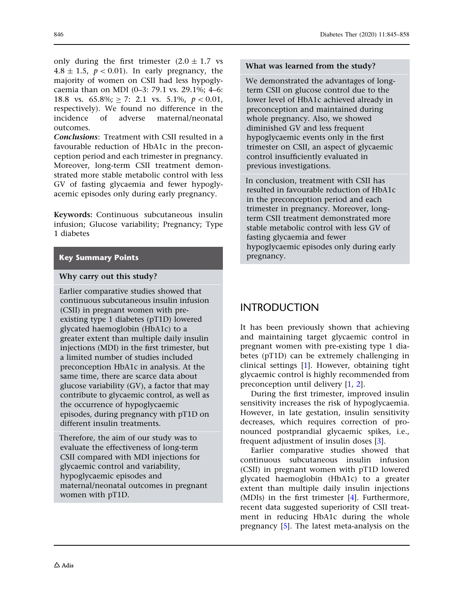only during the first trimester  $(2.0 \pm 1.7 \text{ vs }$  $4.8 \pm 1.5$ ,  $p < 0.01$ ). In early pregnancy, the majority of women on CSII had less hypoglycaemia than on MDI (0–3: 79.1 vs. 29.1%; 4–6: 18.8 vs.  $65.8\%$ ;  $\geq$  7: 2.1 vs. 5.1%,  $p < 0.01$ , respectively). We found no difference in the incidence of adverse maternal/neonatal outcomes.

Conclusions: Treatment with CSII resulted in a favourable reduction of HbA1c in the preconception period and each trimester in pregnancy. Moreover, long-term CSII treatment demonstrated more stable metabolic control with less GV of fasting glycaemia and fewer hypoglyacemic episodes only during early pregnancy.

Keywords: Continuous subcutaneous insulin infusion; Glucose variability; Pregnancy; Type 1 diabetes

## Key Summary Points

## Why carry out this study?

Earlier comparative studies showed that continuous subcutaneous insulin infusion (CSII) in pregnant women with preexisting type 1 diabetes (pT1D) lowered glycated haemoglobin (HbA1c) to a greater extent than multiple daily insulin injections (MDI) in the first trimester, but a limited number of studies included preconception HbA1c in analysis. At the same time, there are scarce data about glucose variability (GV), a factor that may contribute to glycaemic control, as well as the occurrence of hypoglycaemic episodes, during pregnancy with pT1D on different insulin treatments.

Therefore, the aim of our study was to evaluate the effectiveness of long-term CSII compared with MDI injections for glycaemic control and variability, hypoglycaemic episodes and maternal/neonatal outcomes in pregnant women with pT1D.

#### What was learned from the study?

We demonstrated the advantages of longterm CSII on glucose control due to the lower level of HbA1c achieved already in preconception and maintained during whole pregnancy. Also, we showed diminished GV and less frequent hypoglycaemic events only in the first trimester on CSII, an aspect of glycaemic control insufficiently evaluated in previous investigations.

In conclusion, treatment with CSII has resulted in favourable reduction of HbA1c in the preconception period and each trimester in pregnancy. Moreover, longterm CSII treatment demonstrated more stable metabolic control with less GV of fasting glycaemia and fewer hypoglycaemic episodes only during early pregnancy.

## INTRODUCTION

It has been previously shown that achieving and maintaining target glycaemic control in pregnant women with pre-existing type 1 diabetes (pT1D) can be extremely challenging in clinical settings [\[1\]](#page-11-0). However, obtaining tight glycaemic control is highly recommended from preconception until delivery [[1](#page-11-0), [2](#page-11-0)].

During the first trimester, improved insulin sensitivity increases the risk of hypoglycaemia. However, in late gestation, insulin sensitivity decreases, which requires correction of pronounced postprandial glycaemic spikes, i.e., frequent adjustment of insulin doses [[3](#page-11-0)].

Earlier comparative studies showed that continuous subcutaneous insulin infusion (CSII) in pregnant women with pT1D lowered glycated haemoglobin (HbA1c) to a greater extent than multiple daily insulin injections (MDIs) in the first trimester [\[4](#page-11-0)]. Furthermore, recent data suggested superiority of CSII treatment in reducing HbA1c during the whole pregnancy [\[5](#page-11-0)]. The latest meta-analysis on the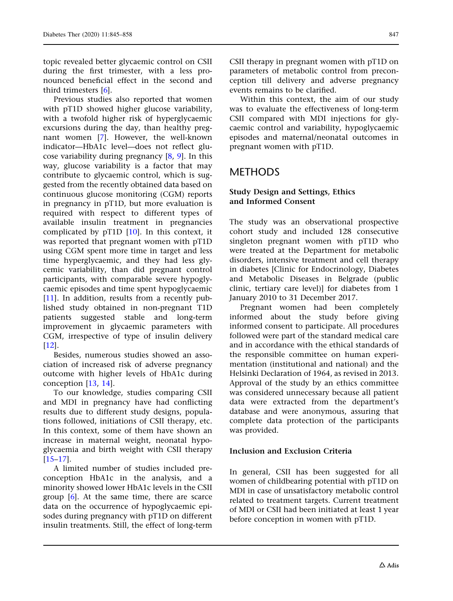topic revealed better glycaemic control on CSII during the first trimester, with a less pronounced beneficial effect in the second and third trimesters [[6\]](#page-11-0).

Previous studies also reported that women with pT1D showed higher glucose variability, with a twofold higher risk of hyperglycaemic excursions during the day, than healthy pregnant women [\[7\]](#page-11-0). However, the well-known indicator—HbA1c level—does not reflect glucose variability during pregnancy [[8](#page-11-0), [9\]](#page-12-0). In this way, glucose variability is a factor that may contribute to glycaemic control, which is suggested from the recently obtained data based on continuous glucose monitoring (CGM) reports in pregnancy in pT1D, but more evaluation is required with respect to different types of available insulin treatment in pregnancies complicated by pT1D [\[10](#page-12-0)]. In this context, it was reported that pregnant women with pT1D using CGM spent more time in target and less time hyperglycaemic, and they had less glycemic variability, than did pregnant control participants, with comparable severe hypoglycaemic episodes and time spent hypoglycaemic [\[11](#page-12-0)]. In addition, results from a recently published study obtained in non-pregnant T1D patients suggested stable and long-term improvement in glycaemic parameters with CGM, irrespective of type of insulin delivery [\[12](#page-12-0)].

Besides, numerous studies showed an association of increased risk of adverse pregnancy outcome with higher levels of HbA1c during conception [[13](#page-12-0), [14](#page-12-0)].

To our knowledge, studies comparing CSII and MDI in pregnancy have had conflicting results due to different study designs, populations followed, initiations of CSII therapy, etc. In this context, some of them have shown an increase in maternal weight, neonatal hypoglycaemia and birth weight with CSII therapy [\[15–17\]](#page-12-0).

A limited number of studies included preconception HbA1c in the analysis, and a minority showed lower HbA1c levels in the CSII group [\[6](#page-11-0)]. At the same time, there are scarce data on the occurrence of hypoglycaemic episodes during pregnancy with pT1D on different insulin treatments. Still, the effect of long-term

CSII therapy in pregnant women with pT1D on parameters of metabolic control from preconception till delivery and adverse pregnancy events remains to be clarified.

Within this context, the aim of our study was to evaluate the effectiveness of long-term CSII compared with MDI injections for glycaemic control and variability, hypoglycaemic episodes and maternal/neonatal outcomes in pregnant women with pT1D.

## **METHODS**

### Study Design and Settings, Ethics and Informed Consent

The study was an observational prospective cohort study and included 128 consecutive singleton pregnant women with pT1D who were treated at the Department for metabolic disorders, intensive treatment and cell therapy in diabetes [Clinic for Endocrinology, Diabetes and Metabolic Diseases in Belgrade (public clinic, tertiary care level)] for diabetes from 1 January 2010 to 31 December 2017.

Pregnant women had been completely informed about the study before giving informed consent to participate. All procedures followed were part of the standard medical care and in accordance with the ethical standards of the responsible committee on human experimentation (institutional and national) and the Helsinki Declaration of 1964, as revised in 2013. Approval of the study by an ethics committee was considered unnecessary because all patient data were extracted from the department's database and were anonymous, assuring that complete data protection of the participants was provided.

### Inclusion and Exclusion Criteria

In general, CSII has been suggested for all women of childbearing potential with pT1D on MDI in case of unsatisfactory metabolic control related to treatment targets. Current treatment of MDI or CSII had been initiated at least 1 year before conception in women with pT1D.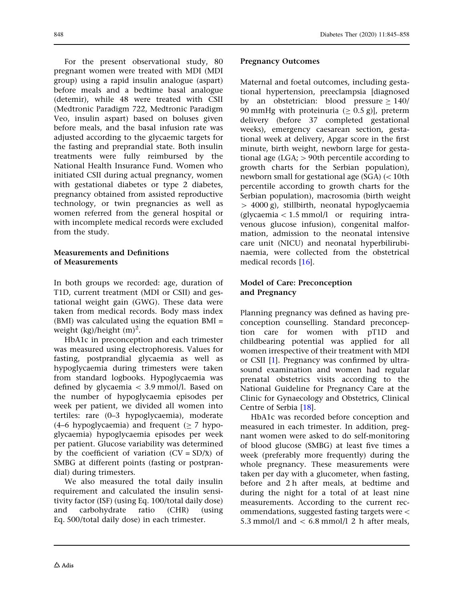For the present observational study, 80 pregnant women were treated with MDI (MDI group) using a rapid insulin analogue (aspart) before meals and a bedtime basal analogue (detemir), while 48 were treated with CSII (Medtronic Paradigm 722, Medtronic Paradigm Veo, insulin aspart) based on boluses given before meals, and the basal infusion rate was adjusted according to the glycaemic targets for the fasting and preprandial state. Both insulin treatments were fully reimbursed by the National Health Insurance Fund. Women who initiated CSII during actual pregnancy, women with gestational diabetes or type 2 diabetes, pregnancy obtained from assisted reproductive technology, or twin pregnancies as well as women referred from the general hospital or with incomplete medical records were excluded from the study.

## Measurements and Definitions of Measurements

In both groups we recorded: age, duration of T1D, current treatment (MDI or CSII) and gestational weight gain (GWG). These data were taken from medical records. Body mass index (BMI) was calculated using the equation BMI = weight  $(kg)/$ height  $(m)^2$ .

HbA1c in preconception and each trimester was measured using electrophoresis. Values for fasting, postprandial glycaemia as well as hypoglycaemia during trimesters were taken from standard logbooks. Hypoglycaemia was defined by glycaemia  $\langle 3.9 \text{ mmol/l.}$  Based on the number of hypoglycaemia episodes per week per patient, we divided all women into tertiles: rare (0–3 hypoglycaemia), moderate (4–6 hypoglycaemia) and frequent ( $\geq$  7 hypoglycaemia) hypoglycaemia episodes per week per patient. Glucose variability was determined by the coefficient of variation  $(CV = SD/\bar{x})$  of SMBG at different points (fasting or postprandial) during trimesters.

We also measured the total daily insulin requirement and calculated the insulin sensitivity factor (ISF) (using Eq. 100/total daily dose) and carbohydrate ratio (CHR) (using Eq. 500/total daily dose) in each trimester.

### Pregnancy Outcomes

Maternal and foetal outcomes, including gestational hypertension, preeclampsia [diagnosed by an obstetrician: blood pressure  $\geq 140/$ 90 mmHg with proteinuria  $( \geq 0.5 \text{ g})$ , preterm delivery (before 37 completed gestational weeks), emergency caesarean section, gestational week at delivery, Apgar score in the first minute, birth weight, newborn large for gestational age (LGA;  $>$  90th percentile according to growth charts for the Serbian population), newborn small for gestational age  $(SGA)$   $(< 10th$ percentile according to growth charts for the Serbian population), macrosomia (birth weight  $>$  4000 g), stillbirth, neonatal hypoglycaemia (glycaemia  $< 1.5$  mmol/l or requiring intravenous glucose infusion), congenital malformation, admission to the neonatal intensive care unit (NICU) and neonatal hyperbilirubinaemia, were collected from the obstetrical medical records [\[16\]](#page-12-0).

## Model of Care: Preconception and Pregnancy

Planning pregnancy was defined as having preconception counselling. Standard preconception care for women with pT1D and childbearing potential was applied for all women irrespective of their treatment with MDI or CSII [[1](#page-11-0)]. Pregnancy was confirmed by ultrasound examination and women had regular prenatal obstetrics visits according to the National Guideline for Pregnancy Care at the Clinic for Gynaecology and Obstetrics, Clinical Centre of Serbia [\[18](#page-12-0)].

HbA1c was recorded before conception and measured in each trimester. In addition, pregnant women were asked to do self-monitoring of blood glucose (SMBG) at least five times a week (preferably more frequently) during the whole pregnancy. These measurements were taken per day with a glucometer, when fasting, before and 2 h after meals, at bedtime and during the night for a total of at least nine measurements. According to the current recommendations, suggested fasting targets were\ 5.3 mmol/l and  $\lt$  6.8 mmol/l 2 h after meals,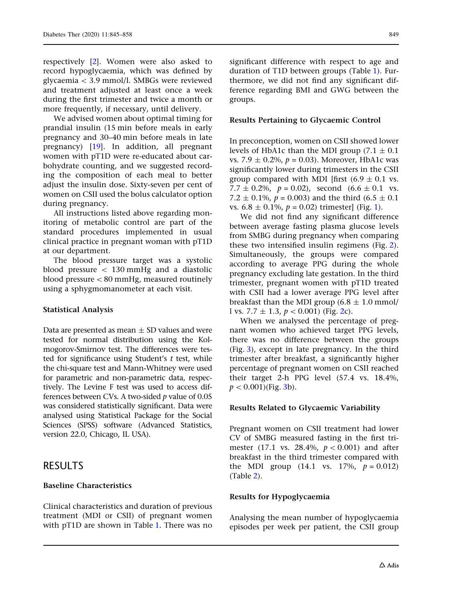respectively [\[2](#page-11-0)]. Women were also asked to record hypoglycaemia, which was defined by glycaemia \ 3.9 mmol/l. SMBGs were reviewed and treatment adjusted at least once a week during the first trimester and twice a month or more frequently, if necessary, until delivery.

We advised women about optimal timing for prandial insulin (15 min before meals in early pregnancy and 30–40 min before meals in late pregnancy) [\[19](#page-12-0)]. In addition, all pregnant women with pT1D were re-educated about carbohydrate counting, and we suggested recording the composition of each meal to better adjust the insulin dose. Sixty-seven per cent of women on CSII used the bolus calculator option during pregnancy.

All instructions listed above regarding monitoring of metabolic control are part of the standard procedures implemented in usual clinical practice in pregnant woman with pT1D at our department.

The blood pressure target was a systolic blood pressure  $\langle$  130 mmHg and a diastolic blood pressure  $< 80$  mmHg, measured routinely using a sphygmomanometer at each visit.

### Statistical Analysis

Data are presented as mean  $\pm$  SD values and were tested for normal distribution using the Kolmogorov-Smirnov test. The differences were tested for significance using Student's  $t$  test, while the chi-square test and Mann-Whitney were used for parametric and non-parametric data, respectively. The Levine F test was used to access differences between CVs. A two-sided  $p$  value of 0.05 was considered statistically significant. Data were analysed using Statistical Package for the Social Sciences (SPSS) software (Advanced Statistics, version 22.0, Chicago, IL USA).

## RESULTS

### Baseline Characteristics

Clinical characteristics and duration of previous treatment (MDI or CSII) of pregnant women with pT1D are shown in Table [1.](#page-5-0) There was no significant difference with respect to age and duration of T1D between groups (Table [1](#page-5-0)). Furthermore, we did not find any significant difference regarding BMI and GWG between the groups.

#### Results Pertaining to Glycaemic Control

In preconception, women on CSII showed lower levels of HbA1c than the MDI group  $(7.1 \pm 0.1)$ vs. 7.9  $\pm$  0.2%,  $p = 0.03$ ). Moreover, HbA1c was significantly lower during trimesters in the CSII group compared with MDI [first  $(6.9 \pm 0.1 \text{ vs.})$ ] 7.7  $\pm$  0.2%,  $p = 0.02$ ), second  $(6.6 \pm 0.1$  vs. 7.2  $\pm$  0.1%,  $p = 0.003$ ) and the third (6.5  $\pm$  0.1 vs.  $6.8 \pm 0.1\%$  $6.8 \pm 0.1\%$  $6.8 \pm 0.1\%$ ,  $p = 0.02$ ) trimester] (Fig. 1).

We did not find any significant difference between average fasting plasma glucose levels from SMBG during pregnancy when comparing these two intensified insulin regimens (Fig. [2\)](#page-6-0). Simultaneously, the groups were compared according to average PPG during the whole pregnancy excluding late gestation. In the third trimester, pregnant women with pT1D treated with CSII had a lower average PPG level after breakfast than the MDI group  $(6.8 \pm 1.0 \text{ mmol})$ l vs. 7.7  $\pm$  1.3,  $p < 0.001$ ) (Fig. [2](#page-6-0)c).

When we analysed the percentage of pregnant women who achieved target PPG levels, there was no difference between the groups (Fig. [3](#page-7-0)), except in late pregnancy. In the third trimester after breakfast, a significantly higher percentage of pregnant women on CSII reached their target 2-h PPG level (57.4 vs. 18.4%,  $p < 0.001$ )(Fig. [3](#page-7-0)b).

#### Results Related to Glycaemic Variability

Pregnant women on CSII treatment had lower CV of SMBG measured fasting in the first trimester (17.1 vs. 28.4%,  $p < 0.001$ ) and after breakfast in the third trimester compared with the MDI group  $(14.1 \text{ vs. } 17\%, p = 0.012)$ (Table [2\)](#page-8-0).

### Results for Hypoglycaemia

Analysing the mean number of hypoglycaemia episodes per week per patient, the CSII group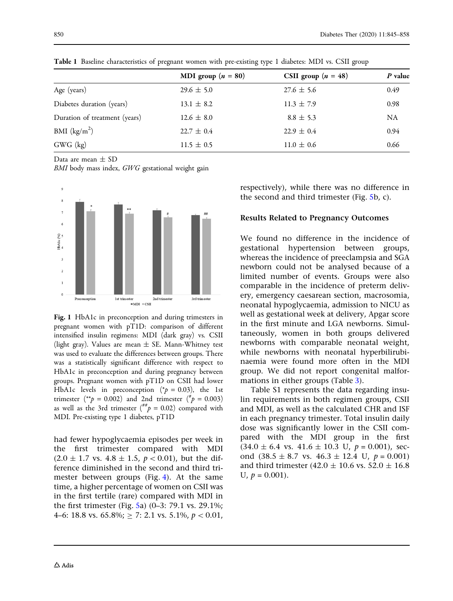|                               | MDI group $(n = 80)$ | CSII group $(n = 48)$ | P value |
|-------------------------------|----------------------|-----------------------|---------|
| Age (years)                   | $29.6 \pm 5.0$       | $27.6 \pm 5.6$        | 0.49    |
| Diabetes duration (years)     | $13.1 \pm 8.2$       | $11.3 \pm 7.9$        | 0.98    |
| Duration of treatment (years) | $12.6 \pm 8.0$       | $8.8 \pm 5.3$         | NA      |
| BMI $(kg/m2)$                 | $22.7 \pm 0.4$       | $22.9 \pm 0.4$        | 0.94    |
| $GWG$ $(kg)$                  | $11.5 \pm 0.5$       | $11.0 \pm 0.6$        | 0.66    |

<span id="page-5-0"></span>Table 1 Baseline characteristics of pregnant women with pre-existing type 1 diabetes: MDI vs. CSII group

Data are mean  $\pm$  SD

BMI body mass index, GWG gestational weight gain



Fig. 1 HbA1c in preconception and during trimesters in pregnant women with pT1D: comparison of different intensified insulin regimens: MDI (dark gray) vs. CSII (light gray). Values are mean  $\pm$  SE. Mann-Whitney test was used to evaluate the differences between groups. There was a statistically significant difference with respect to HbA1c in preconception and during pregnancy between groups. Pregnant women with pT1D on CSII had lower HbA1c levels in preconception ( $p = 0.03$ ), the 1st trimester (\*\* $p = 0.002$ ) and 2nd trimester ( $\pi p = 0.003$ ) as well as the 3rd trimester ( $^{#}\ p = 0.02$ ) compared with MDI. Pre-existing type 1 diabetes, pT1D

had fewer hypoglycaemia episodes per week in the first trimester compared with MDI  $(2.0 \pm 1.7 \text{ vs. } 4.8 \pm 1.5, p < 0.01)$ , but the difference diminished in the second and third trimester between groups (Fig. [4](#page-9-0)). At the same time, a higher percentage of women on CSII was in the first tertile (rare) compared with MDI in the first trimester (Fig. [5](#page-9-0)a) (0–3: 79.1 vs. 29.1%; 4–6: 18.8 vs. 65.8%;  $\geq$  7: 2.1 vs. 5.1%,  $p < 0.01$ , respectively), while there was no difference in the second and third trimester (Fig. [5b](#page-9-0), c).

### Results Related to Pregnancy Outcomes

We found no difference in the incidence of gestational hypertension between groups, whereas the incidence of preeclampsia and SGA newborn could not be analysed because of a limited number of events. Groups were also comparable in the incidence of preterm delivery, emergency caesarean section, macrosomia, neonatal hypoglycaemia, admission to NICU as well as gestational week at delivery, Apgar score in the first minute and LGA newborns. Simultaneously, women in both groups delivered newborns with comparable neonatal weight, while newborns with neonatal hyperbilirubinaemia were found more often in the MDI group. We did not report congenital malformations in either groups (Table [3](#page-10-0)).

Table S1 represents the data regarding insulin requirements in both regimen groups, CSII and MDI, as well as the calculated CHR and ISF in each pregnancy trimester. Total insulin daily dose was significantly lower in the CSII compared with the MDI group in the first  $(34.0 \pm 6.4 \text{ vs. } 41.6 \pm 10.3 \text{ U}, p = 0.001)$ , second  $(38.5 \pm 8.7 \text{ vs. } 46.3 \pm 12.4 \text{ U}, p = 0.001)$ and third trimester (42.0  $\pm$  10.6 vs. 52.0  $\pm$  16.8 U,  $p = 0.001$ ).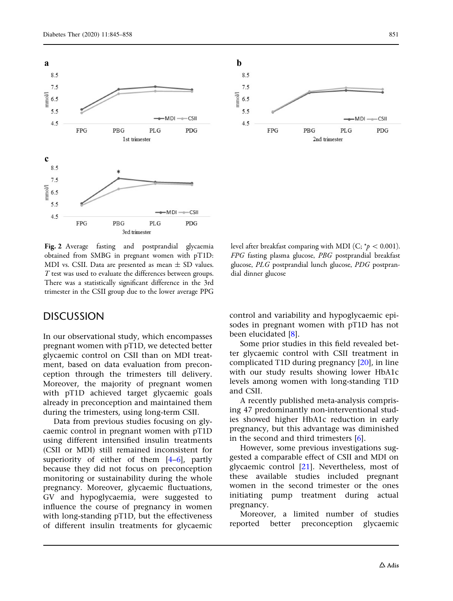<span id="page-6-0"></span>



Fig. 2 Average fasting and postprandial glycaemia obtained from SMBG in pregnant women with pT1D: MDI vs. CSII. Data are presented as mean  $\pm$  SD values. T test was used to evaluate the differences between groups. There was a statistically significant difference in the 3rd trimester in the CSII group due to the lower average PPG

## DISCUSSION

In our observational study, which encompasses pregnant women with pT1D, we detected better glycaemic control on CSII than on MDI treatment, based on data evaluation from preconception through the trimesters till delivery. Moreover, the majority of pregnant women with pT1D achieved target glycaemic goals already in preconception and maintained them during the trimesters, using long-term CSII.

Data from previous studies focusing on glycaemic control in pregnant women with pT1D using different intensified insulin treatments (CSII or MDI) still remained inconsistent for superiority of either of them  $[4-6]$ , partly because they did not focus on preconception monitoring or sustainability during the whole pregnancy. Moreover, glycaemic fluctuations, GV and hypoglycaemia, were suggested to influence the course of pregnancy in women with long-standing pT1D, but the effectiveness of different insulin treatments for glycaemic

level after breakfast comparing with MDI (C;  $p < 0.001$ ). FPG fasting plasma glucose, PBG postprandial breakfast glucose, PLG postprandial lunch glucose, PDG postprandial dinner glucose

control and variability and hypoglycaemic episodes in pregnant women with pT1D has not been elucidated [\[8](#page-11-0)].

Some prior studies in this field revealed better glycaemic control with CSII treatment in complicated T1D during pregnancy [[20](#page-12-0)], in line with our study results showing lower HbA1c levels among women with long-standing T1D and CSII.

A recently published meta-analysis comprising 47 predominantly non-interventional studies showed higher HbA1c reduction in early pregnancy, but this advantage was diminished in the second and third trimesters [\[6](#page-11-0)].

However, some previous investigations suggested a comparable effect of CSII and MDI on glycaemic control [\[21\]](#page-12-0). Nevertheless, most of these available studies included pregnant women in the second trimester or the ones initiating pump treatment during actual pregnancy.

Moreover, a limited number of studies reported better preconception glycaemic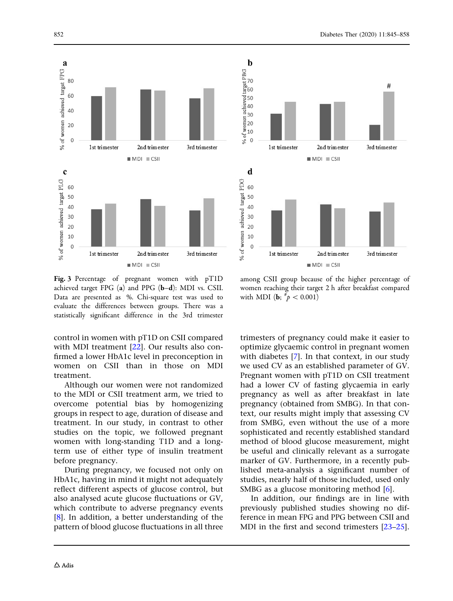<span id="page-7-0"></span>



Fig. 3 Percentage of pregnant women with pT1D achieved target FPG  $(a)$  and PPG  $(b-d)$ : MDI vs. CSII. Data are presented as %. Chi-square test was used to evaluate the differences between groups. There was a statistically significant difference in the 3rd trimester

control in women with pT1D on CSII compared with MDI treatment [[22](#page-12-0)]. Our results also confirmed a lower HbA1c level in preconception in women on CSII than in those on MDI treatment.

Although our women were not randomized to the MDI or CSII treatment arm, we tried to overcome potential bias by homogenizing groups in respect to age, duration of disease and treatment. In our study, in contrast to other studies on the topic, we followed pregnant women with long-standing T1D and a longterm use of either type of insulin treatment before pregnancy.

During pregnancy, we focused not only on HbA1c, having in mind it might not adequately reflect different aspects of glucose control, but also analysed acute glucose fluctuations or GV, which contribute to adverse pregnancy events [\[8\]](#page-11-0). In addition, a better understanding of the pattern of blood glucose fluctuations in all three

among CSII group because of the higher percentage of women reaching their target 2 h after breakfast compared with MDI (**b**;  $\frac{F}{\rho} < 0.001$ )

trimesters of pregnancy could make it easier to optimize glycaemic control in pregnant women with diabetes [[7\]](#page-11-0). In that context, in our study we used CV as an established parameter of GV. Pregnant women with pT1D on CSII treatment had a lower CV of fasting glycaemia in early pregnancy as well as after breakfast in late pregnancy (obtained from SMBG). In that context, our results might imply that assessing CV from SMBG, even without the use of a more sophisticated and recently established standard method of blood glucose measurement, might be useful and clinically relevant as a surrogate marker of GV. Furthermore, in a recently published meta-analysis a significant number of studies, nearly half of those included, used only SMBG as a glucose monitoring method [\[6\]](#page-11-0).

In addition, our findings are in line with previously published studies showing no difference in mean FPG and PPG between CSII and MDI in the first and second trimesters [\[23–25](#page-12-0)].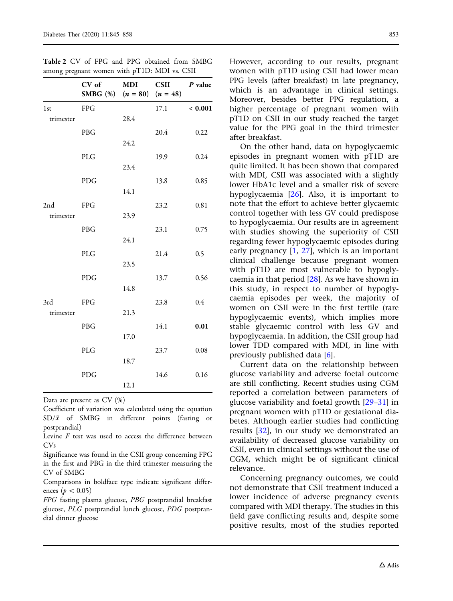|           | CV of<br>SMBG $(\%)$ $(n = 80)$ $(n = 48)$ | <b>MDI</b> | <b>CSII</b> | $P$ value   |
|-----------|--------------------------------------------|------------|-------------|-------------|
| 1st       | <b>FPG</b>                                 |            | 17.1        | ${}< 0.001$ |
| trimester |                                            | 28.4       |             |             |
|           | PBG                                        |            | 20.4        | 0.22        |
|           |                                            | 24.2       |             |             |
|           | PLG                                        |            | 19.9        | 0.24        |
|           |                                            | 23.4       |             |             |
|           | PDG                                        |            | 13.8        | 0.85        |
|           |                                            | 14.1       |             |             |
| 2nd       | <b>FPG</b>                                 |            | 23.2        | 0.81        |
| trimester |                                            | 23.9       |             |             |
|           | PBG                                        |            | 23.1        | 0.75        |
|           |                                            | 24.1       |             |             |
|           | PLG                                        |            | 21.4        | 0.5         |
|           |                                            | 23.5       |             |             |
|           | PDG                                        |            | 13.7        | 0.56        |
|           |                                            | 14.8       |             |             |
| 3rd       | <b>FPG</b>                                 |            | 23.8        | $0.4\,$     |
| trimester |                                            | 21.3       |             |             |
|           | PBG                                        |            | 14.1        | 0.01        |
|           |                                            | 17.0       |             |             |
|           | PLG                                        |            | 23.7        | 0.08        |
|           |                                            | 18.7       |             |             |
|           | PDG                                        |            | 14.6        | 0.16        |
|           |                                            | 12.1       |             |             |

<span id="page-8-0"></span>Table 2 CV of FPG and PPG obtained from SMBG among pregnant women with pT1D: MDI vs. CSII

Data are present as CV (%)

Coefficient of variation was calculated using the equation  $SD/\bar{x}$  of SMBG in different points (fasting or postprandial)

Levine  $F$  test was used to access the difference between CVs

Significance was found in the CSII group concerning FPG in the first and PBG in the third trimester measuring the CV of SMBG

Comparisons in boldface type indicate significant differences ( $p < 0.05$ )

FPG fasting plasma glucose, PBG postprandial breakfast glucose, PLG postprandial lunch glucose, PDG postprandial dinner glucose

However, according to our results, pregnant women with pT1D using CSII had lower mean PPG levels (after breakfast) in late pregnancy, which is an advantage in clinical settings. Moreover, besides better PPG regulation, a higher percentage of pregnant women with pT1D on CSII in our study reached the target value for the PPG goal in the third trimester after breakfast.

On the other hand, data on hypoglycaemic episodes in pregnant women with pT1D are quite limited. It has been shown that compared with MDI, CSII was associated with a slightly lower HbA1c level and a smaller risk of severe hypoglycaemia [\[26\]](#page-12-0). Also, it is important to note that the effort to achieve better glycaemic control together with less GV could predispose to hypoglycaemia. Our results are in agreement with studies showing the superiority of CSII regarding fewer hypoglycaemic episodes during early pregnancy  $[1, 27]$  $[1, 27]$  $[1, 27]$ , which is an important clinical challenge because pregnant women with pT1D are most vulnerable to hypoglycaemia in that period [\[28\]](#page-12-0). As we have shown in this study, in respect to number of hypoglycaemia episodes per week, the majority of women on CSII were in the first tertile (rare hypoglycaemic events), which implies more stable glycaemic control with less GV and hypoglycaemia. In addition, the CSII group had lower TDD compared with MDI, in line with previously published data [\[6\]](#page-11-0).

Current data on the relationship between glucose variability and adverse foetal outcome are still conflicting. Recent studies using CGM reported a correlation between parameters of glucose variability and foetal growth [\[29–](#page-12-0)[31](#page-13-0)] in pregnant women with pT1D or gestational diabetes. Although earlier studies had conflicting results [[32](#page-13-0)], in our study we demonstrated an availability of decreased glucose variability on CSII, even in clinical settings without the use of CGM, which might be of significant clinical relevance.

Concerning pregnancy outcomes, we could not demonstrate that CSII treatment induced a lower incidence of adverse pregnancy events compared with MDI therapy. The studies in this field gave conflicting results and, despite some positive results, most of the studies reported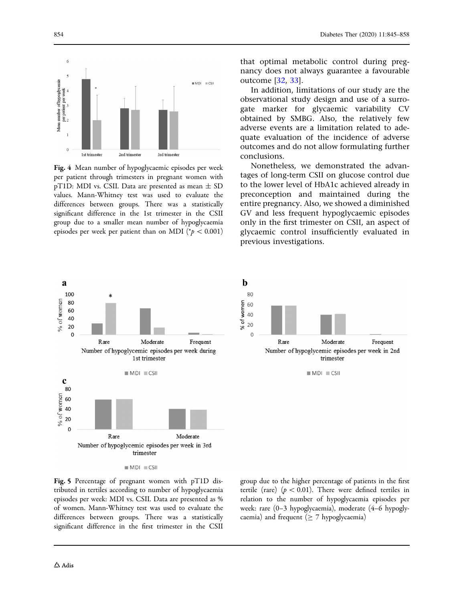<span id="page-9-0"></span>

Fig. 4 Mean number of hypoglycaemic episodes per week per patient through trimesters in pregnant women with pT1D: MDI vs. CSII. Data are presented as mean  $\pm$  SD values. Mann-Whitney test was used to evaluate the differences between groups. There was a statistically significant difference in the 1st trimester in the CSII group due to a smaller mean number of hypoglycaemia episodes per week per patient than on MDI ( $p < 0.001$ )

that optimal metabolic control during pregnancy does not always guarantee a favourable outcome [[32](#page-13-0), [33\]](#page-13-0).

In addition, limitations of our study are the observational study design and use of a surrogate marker for glycaemic variability CV obtained by SMBG. Also, the relatively few adverse events are a limitation related to adequate evaluation of the incidence of adverse outcomes and do not allow formulating further conclusions.

Nonetheless, we demonstrated the advantages of long-term CSII on glucose control due to the lower level of HbA1c achieved already in preconception and maintained during the entire pregnancy. Also, we showed a diminished GV and less frequent hypoglycaemic episodes only in the first trimester on CSII, an aspect of glycaemic control insufficiently evaluated in previous investigations.



 $MDI$   $CSI$ 

Fig. 5 Percentage of pregnant women with pT1D distributed in tertiles according to number of hypoglycaemia episodes per week: MDI vs. CSII. Data are presented as % of women. Mann-Whitney test was used to evaluate the differences between groups. There was a statistically significant difference in the first trimester in the CSII group due to the higher percentage of patients in the first tertile (rare) ( $p < 0.01$ ). There were defined tertiles in relation to the number of hypoglycaemia episodes per week: rare (0–3 hypoglycaemia), moderate (4–6 hypoglycaemia) and frequent ( $\geq$  7 hypoglycaemia)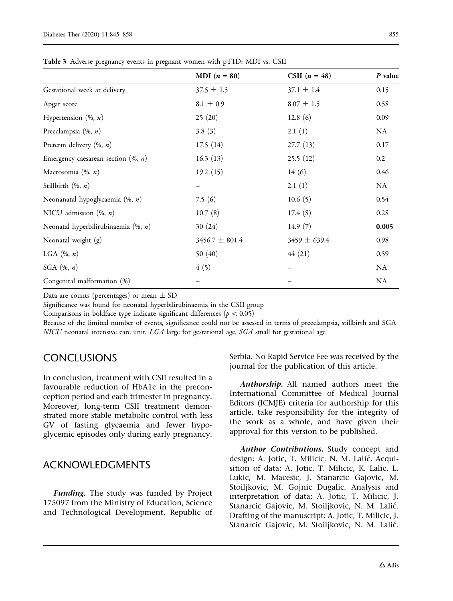|                                        | MDI $(n = 80)$     | <b>CSII</b> $(n = 48)$ | $P$ value |
|----------------------------------------|--------------------|------------------------|-----------|
| Gestational week at delivery           | $37.5 \pm 1.5$     | $37.1 \pm 1.4$         | 0.15      |
| Apgar score                            | $8.1 \pm 0.9$      | $8.07 \pm 1.5$         | 0.58      |
| Hypertension $(\% , n)$                | 25(20)             | 12.8 $(6)$             | 0.09      |
| Preeclampsia (%, n)                    | 3.8(3)             | 2.1(1)                 | NA        |
| Preterm delivery $(\% , n)$            | 17.5(14)           | 27.7(13)               | 0.17      |
| Emergency caesarean section $(\% , n)$ | 16.3(13)           | 25.5(12)               | 0.2       |
| Macrosomia $(\% , n)$                  | 19.2(15)           | 14(6)                  | 0.46      |
| Stillbirth $(\% , n)$                  |                    | 2.1(1)                 | NA        |
| Neonanatal hypoglycaemia (%, n)        | 7.5 $(6)$          | 10.6(5)                | 0.54      |
| NICU admission $(\%, n)$               | 10.7(8)            | 17.4(8)                | 0.28      |
| Neonatal hyperbilirubinaemia (%, n)    | 30(24)             | 14.9 $(7)$             | 0.005     |
| Neonatal weight (g)                    | $3456.7 \pm 801.4$ | $3459 \pm 639.4$       | 0.98      |
| LGA $(\% , n)$                         | 50 $(40)$          | 44(21)                 | 0.59      |
| SGA $(\% , n)$                         | 4(5)               |                        | NA        |
| Congenital malformation (%)            |                    |                        | NA        |

<span id="page-10-0"></span>Table 3 Adverse pregnancy events in pregnant women with pT1D: MDI vs. CSII

Data are counts (percentages) or mean  $\pm$  SD

Significance was found for neonatal hyperbilirubinaemia in the CSII group

Comparisons in boldface type indicate significant differences ( $p < 0.05$ )

Because of the limited number of events, significance could not be assessed in terms of preeclampsia, stillbirth and SGA  $NICU$  neonatal intensive care unit,  $LGA$  large for gestational age,  $SGA$  small for gestational age

## CONCLUSIONS

In conclusion, treatment with CSII resulted in a favourable reduction of HbA1c in the preconception period and each trimester in pregnancy. Moreover, long-term CSII treatment demonstrated more stable metabolic control with less GV of fasting glycaemia and fewer hypoglycemic episodes only during early pregnancy.

## ACKNOWLEDGMENTS

Funding. The study was funded by Project 175097 from the Ministry of Education, Science and Technological Development, Republic of Serbia. No Rapid Service Fee was received by the journal for the publication of this article.

Authorship. All named authors meet the International Committee of Medical Journal Editors (ICMJE) criteria for authorship for this article, take responsibility for the integrity of the work as a whole, and have given their approval for this version to be published.

Author Contributions. Study concept and design: A. Jotic, T. Milicic, N. M. Lalić. Acquisition of data: A. Jotic, T. Milicic, K. Lalic, L. Lukic, M. Macesic, J. Stanarcic Gajovic, M. Stoiljkovic, M. Gojnic Dugalic. Analysis and interpretation of data: A. Jotic, T. Milicic, J. Stanarcic Gajovic, M. Stoiljkovic, N. M. Lalić. Drafting of the manuscript: A. Jotic, T. Milicic, J. Stanarcic Gajovic, M. Stoiljkovic, N. M. Lalić.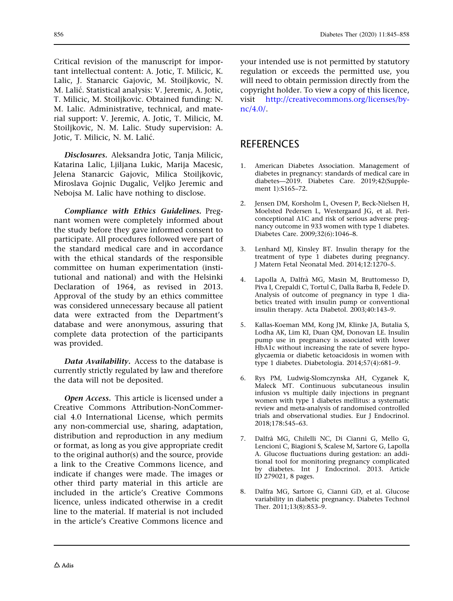<span id="page-11-0"></span>Critical revision of the manuscript for important intellectual content: A. Jotic, T. Milicic, K. Lalic, J. Stanarcic Gajovic, M. Stoiljkovic, N. M. Lalic´. Statistical analysis: V. Jeremic, A. Jotic, T. Milicic, M. Stoiljkovic. Obtained funding: N. M. Lalic. Administrative, technical, and material support: V. Jeremic, A. Jotic, T. Milicic, M. Stoiljkovic, N. M. Lalic. Study supervision: A.

Disclosures. Aleksandra Jotic, Tanja Milicic, Katarina Lalic, Ljiljana Lukic, Marija Macesic, Jelena Stanarcic Gajovic, Milica Stoiljkovic, Miroslava Gojnic Dugalic, Veljko Jeremic and Nebojsa M. Lalic have nothing to disclose.

Jotic, T. Milicic, N. M. Lalić.

Compliance with Ethics Guidelines. Pregnant women were completely informed about the study before they gave informed consent to participate. All procedures followed were part of the standard medical care and in accordance with the ethical standards of the responsible committee on human experimentation (institutional and national) and with the Helsinki Declaration of 1964, as revised in 2013. Approval of the study by an ethics committee was considered unnecessary because all patient data were extracted from the Department's database and were anonymous, assuring that complete data protection of the participants was provided.

Data Availability. Access to the database is currently strictly regulated by law and therefore the data will not be deposited.

Open Access. This article is licensed under a Creative Commons Attribution-NonCommercial 4.0 International License, which permits any non-commercial use, sharing, adaptation, distribution and reproduction in any medium or format, as long as you give appropriate credit to the original author(s) and the source, provide a link to the Creative Commons licence, and indicate if changes were made. The images or other third party material in this article are included in the article's Creative Commons licence, unless indicated otherwise in a credit line to the material. If material is not included in the article's Creative Commons licence and

your intended use is not permitted by statutory regulation or exceeds the permitted use, you will need to obtain permission directly from the copyright holder. To view a copy of this licence, visit [http://creativecommons.org/licenses/by](http://creativecommons.org/licenses/by-nc/4.0/)[nc/4.0/.](http://creativecommons.org/licenses/by-nc/4.0/)

## **REFERENCES**

- 1. American Diabetes Association. Management of diabetes in pregnancy: standards of medical care in diabetes—2019. Diabetes Care. 2019;42(Supplement 1):S165–72.
- 2. Jensen DM, Korsholm L, Ovesen P, Beck-Nielsen H, Moelsted Pedersen L, Westergaard JG, et al. Periconceptional A1C and risk of serious adverse pregnancy outcome in 933 women with type 1 diabetes. Diabetes Care. 2009;32(6):1046–8.
- 3. Lenhard MJ, Kinsley BT. Insulin therapy for the treatment of type 1 diabetes during pregnancy. J Matern Fetal Neonatal Med. 2014;12:1270–5.
- 4. Lapolla A, Dalfrà MG, Masin M, Bruttomesso D, Piva I, Crepaldi C, Tortul C, Dalla Barba B, Fedele D. Analysis of outcome of pregnancy in type 1 diabetics treated with insulin pump or conventional insulin therapy. Acta Diabetol. 2003;40:143–9.
- 5. Kallas-Koeman MM, Kong JM, Klinke JA, Butalia S, Lodha AK, Lim KI, Duan QM, Donovan LE. Insulin pump use in pregnancy is associated with lower HbA1c without increasing the rate of severe hypoglycaemia or diabetic ketoacidosis in women with type 1 diabetes. Diabetologia. 2014;57(4):681–9.
- 6. Rys PM, Ludwig-Slomczynska AH, Cyganek K, Maleck MT. Continuous subcutaneous insulin infusion vs multiple daily injections in pregnant women with type 1 diabetes mellitus: a systematic review and meta-analysis of randomised controlled trials and observational studies. Eur J Endocrinol. 2018;178:545–63.
- 7. Dalfra` MG, Chilelli NC, Di Cianni G, Mello G, Lencioni C, Biagioni S, Scalese M, Sartore G, Lapolla A. Glucose fluctuations during gestation: an additional tool for monitoring pregnancy complicated by diabetes. Int J Endocrinol. 2013. Article ID 279021, 8 pages.
- 8. Dalfra MG, Sartore G, Cianni GD, et al. Glucose variability in diabetic pregnancy. Diabetes Technol Ther. 2011;13(8):853–9.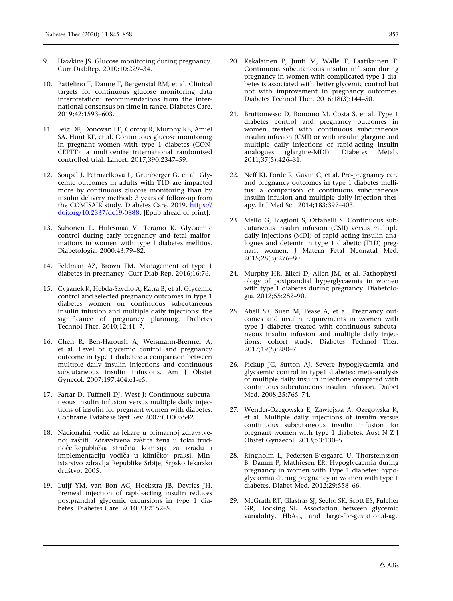- <span id="page-12-0"></span>9. Hawkins JS. Glucose monitoring during pregnancy. Curr DiabRep. 2010;10:229–34.
- 10. Battelino T, Danne T, Bergenstal RM, et al. Clinical targets for continuous glucose monitoring data interpretation: recommendations from the international consensus on time in range. Diabetes Care. 2019;42:1593–603.
- 11. Feig DF, Donovan LE, Corcoy R, Murphy KE, Amiel SA, Hunt KF, et al. Continuous glucose monitoring in pregnant women with type 1 diabetes (CON-CEPTT): a multicentre international randomised controlled trial. Lancet. 2017;390:2347–59.
- 12. Soupal J, Petruzelkova L, Grunberger G, et al. Glycemic outcomes in adults with T1D are impacted more by continuous glucose monitoring than by insulin delivery method: 3 years of follow-up from the COMISAIR study. Diabetes Care. 2019. [https://](https://doi.org/10.2337/dc19-0888) [doi.org/10.2337/dc19-0888](https://doi.org/10.2337/dc19-0888). [Epub ahead of print].
- 13. Suhonen L, Hiilesmaa V, Teramo K. Glycaemic control during early pregnancy and fetal malformations in women with type I diabetes mellitus. Diabetologia. 2000;43:79–82.
- 14. Feldman AZ, Brown FM. Management of type 1 diabetes in pregnancy. Curr Diab Rep. 2016;16:76.
- 15. Cyganek K, Hebda-Szydlo A, Katra B, et al. Glycemic control and selected pregnancy outcomes in type 1 diabetes women on continuous subcutaneous insulin infusion and multiple daily injections: the significance of pregnancy planning. Diabetes Technol Ther. 2010;12:41–7.
- 16. Chen R, Ben-Haroush A, Weismann-Brenner A, et al. Level of glycemic control and pregnancy outcome in type 1 diabetes: a comparison between multiple daily insulin injections and continuous subcutaneous insulin infusions. Am J Obstet Gynecol. 2007;197:404.e1-e5.
- 17. Farrar D, Tuffnell DJ, West J: Continuous subcutaneous insulin infusion versus multiple daily injections of insulin for pregnant women with diabetes. Cochrane Database Syst Rev 2007:CD005542.
- 18. Nacionalni vodič za lekare u primarnoj zdravstvenoj zaštiti. Zdravstvena zaštita žena u toku trudnoće.Republička stručna komisija za izradu i implementaciju vodiča u kliničkoj praksi, Ministarstvo zdravlja Republike Srbije, Srpsko lekarsko društvo, 2005.
- 19. Luijf YM, van Bon AC, Hoekstra JB, Devries JH. Premeal injection of rapid-acting insulin reduces postprandial glycemic excursions in type 1 diabetes. Diabetes Care. 2010;33:2152–5.
- 20. Kekalainen P, Juuti M, Walle T, Laatikainen T. Continuous subcutaneous insulin infusion during pregnancy in women with complicated type 1 diabetes is associated with better glycemic control but not with improvement in pregnancy outcomes. Diabetes Technol Ther. 2016;18(3):144–50.
- 21. Bruttomesso D, Bonomo M, Costa S, et al. Type 1 diabetes control and pregnancy outcomes in women treated with continuous subcutaneous insulin infusion (CSII) or with insulin glargine and multiple daily injections of rapid-acting insulin<br>analogues (glargine-MDI). Diabetes Metab. analogues (glargine-MDI). 2011;37(5):426–31.
- 22. Neff KJ, Forde R, Gavin C, et al. Pre-pregnancy care and pregnancy outcomes in type 1 diabetes mellitus: a comparison of continuous subcutaneous insulin infusion and multiple daily injection therapy. Ir J Med Sci. 2014;183:397–403.
- 23. Mello G, Biagioni S, Ottanelli S. Continuous subcutaneous insulin infusion (CSII) versus multiple daily injections (MDI) of rapid acting insulin analogues and detemir in type 1 diabetic (T1D) pregnant women. J Matern Fetal Neonatal Med. 2015;28(3):276–80.
- 24. Murphy HR, Elleri D, Allen JM, et al. Pathophysiology of postprandial hyperglycaemia in women with type 1 diabetes during pregnancy. Diabetologia. 2012;55:282–90.
- 25. Abell SK, Suen M, Pease A, et al. Pregnancy outcomes and insulin requirements in women with type 1 diabetes treated with continuous subcutaneous insulin infusion and multiple daily injections: cohort study. Diabetes Technol Ther. 2017;19(5):280–7.
- 26. Pickup JC, Sutton AJ. Severe hypoglycaemia and glycaemic control in type1 diabetes: meta-analysis of multiple daily insulin injections compared with continuous subcutaneous insulin infusion. Diabet Med. 2008;25:765–74.
- 27. Wender-Ozegowska E, Zawiejska A, Ozegowska K, et al. Multiple daily injections of insulin versus continuous subcutaneous insulin infusion for pregnant women with type 1 diabetes. Aust N Z J Obstet Gynaecol. 2013;53:130–5.
- 28. Ringholm L, Pedersen-Bjergaard U, Thorsteinsson B, Damm P, Mathiesen ER. Hypoglycaemia during pregnancy in women with Type 1 diabetes: hypoglycaemia during pregnancy in women with type 1 diabetes. Diabet Med. 2012;29:558–66.
- 29. McGrath RT, Glastras SJ, Seeho SK, Scott ES, Fulcher GR, Hocking SL. Association between glycemic variability,  $HbA_{1c}$ , and large-for-gestational-age